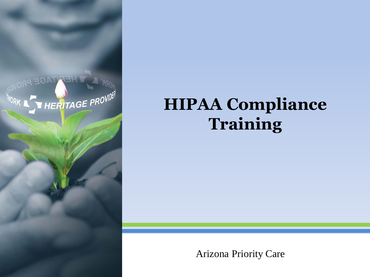

## **HIPAA Compliance Training**

#### Arizona Priority Care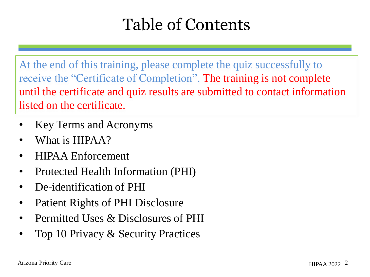# Table of Contents

At the end of this training, please complete the quiz successfully to receive the "Certificate of Completion". The training is not complete until the certificate and quiz results are submitted to contact information listed on the certificate.

- Key Terms and Acronyms
- What is HIPAA?
- **HIPAA Enforcement**
- Protected Health Information (PHI)
- De-identification of PHI
- Patient Rights of PHI Disclosure
- Permitted Uses & Disclosures of PHI
- Top 10 Privacy & Security Practices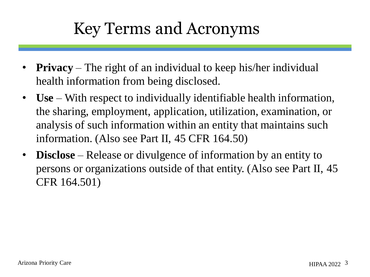## Key Terms and Acronyms

- **Privacy** The right of an individual to keep his/her individual health information from being disclosed.
- **Use** With respect to individually identifiable health information, the sharing, employment, application, utilization, examination, or analysis of such information within an entity that maintains such information. (Also see Part II, 45 CFR 164.50)
- **Disclose** Release or divulgence of information by an entity to persons or organizations outside of that entity. (Also see Part II, 45 CFR 164.501)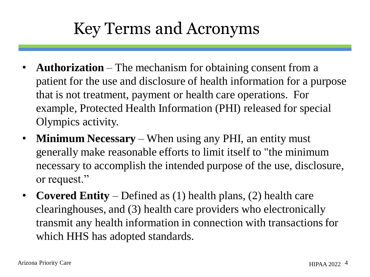## Key Terms and Acronyms

- **Authorization** The mechanism for obtaining consent from a patient for the use and disclosure of health information for a purpose that is not treatment, payment or health care operations. For example, Protected Health Information (PHI) released for special Olympics activity.
- **Minimum Necessary** When using any PHI, an entity must generally make reasonable efforts to limit itself to "the minimum necessary to accomplish the intended purpose of the use, disclosure, or request."
- **Covered Entity** Defined as (1) health plans, (2) health care clearinghouses, and (3) health care providers who electronically transmit any health information in connection with transactions for which HHS has adopted standards.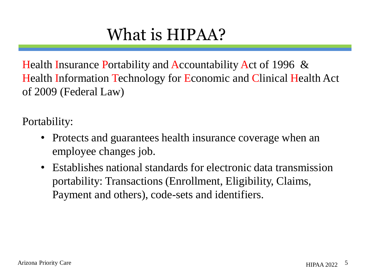# What is HIPAA?

Health Insurance Portability and Accountability Act of 1996 & Health Information Technology for Economic and Clinical Health Act of 2009 (Federal Law)

Portability:

- Protects and guarantees health insurance coverage when an employee changes job.
- Establishes national standards for electronic data transmission portability: Transactions (Enrollment, Eligibility, Claims, Payment and others), code-sets and identifiers.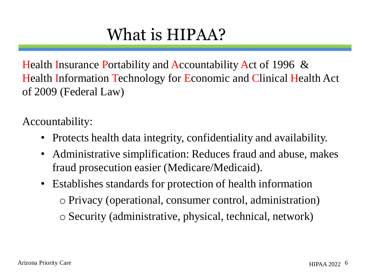# What is HIPAA?

Health Insurance Portability and Accountability Act of 1996 & Health Information Technology for Economic and Clinical Health Act of 2009 (Federal Law)

Accountability:

- Protects health data integrity, confidentiality and availability.
- Administrative simplification: Reduces fraud and abuse, makes fraud prosecution easier (Medicare/Medicaid).
- Establishes standards for protection of health information o Privacy (operational, consumer control, administration) o Security (administrative, physical, technical, network)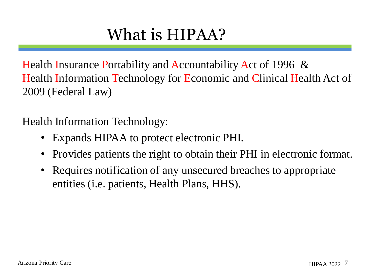# What is HIPAA?

Health Insurance Portability and Accountability Act of 1996 & Health Information Technology for Economic and Clinical Health Act of 2009 (Federal Law)

Health Information Technology:

- Expands HIPAA to protect electronic PHI.
- Provides patients the right to obtain their PHI in electronic format.
- Requires notification of any unsecured breaches to appropriate entities (i.e. patients, Health Plans, HHS).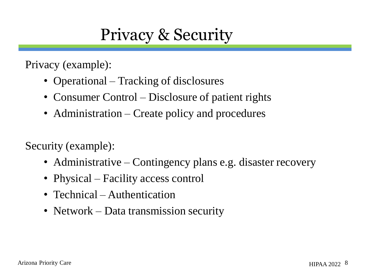#### Privacy & Security

Privacy (example):

- Operational Tracking of disclosures
- Consumer Control Disclosure of patient rights
- Administration Create policy and procedures

Security (example):

- Administrative Contingency plans e.g. disaster recovery
- Physical Facility access control
- Technical Authentication
- Network Data transmission security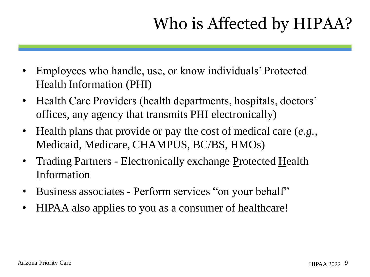# Who is Affected by HIPAA?

- Employees who handle, use, or know individuals' Protected Health Information (PHI)
- Health Care Providers (health departments, hospitals, doctors' offices, any agency that transmits PHI electronically)
- Health plans that provide or pay the cost of medical care (*e.g.,* Medicaid, Medicare, CHAMPUS, BC/BS, HMOs)
- Trading Partners Electronically exchange Protected Health Information
- Business associates Perform services "on your behalf"
- HIPAA also applies to you as a consumer of healthcare!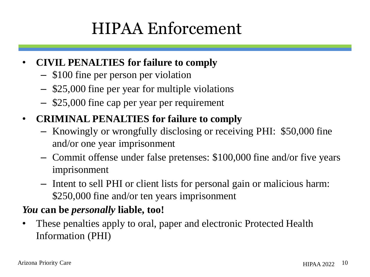# HIPAA Enforcement

- **CIVIL PENALTIES for failure to comply**
	- \$100 fine per person per violation
	- \$25,000 fine per year for multiple violations
	- \$25,000 fine cap per year per requirement
- **CRIMINAL PENALTIES for failure to comply**
	- Knowingly or wrongfully disclosing or receiving PHI: \$50,000 fine and/or one year imprisonment
	- Commit offense under false pretenses: \$100,000 fine and/or five years imprisonment
	- Intent to sell PHI or client lists for personal gain or malicious harm: \$250,000 fine and/or ten years imprisonment

#### *You* **can be** *personally* **liable, too!**

• These penalties apply to oral, paper and electronic Protected Health Information (PHI)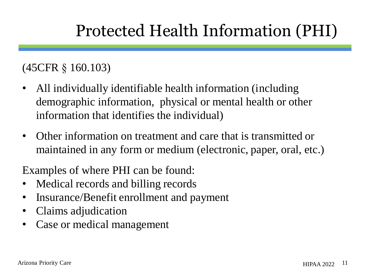# Protected Health Information (PHI)

#### (45CFR § 160.103)

- All individually identifiable health information (including demographic information, physical or mental health or other information that identifies the individual)
- Other information on treatment and care that is transmitted or maintained in any form or medium (electronic, paper, oral, etc.)

Examples of where PHI can be found:

- Medical records and billing records
- Insurance/Benefit enrollment and payment
- Claims adjudication
- Case or medical management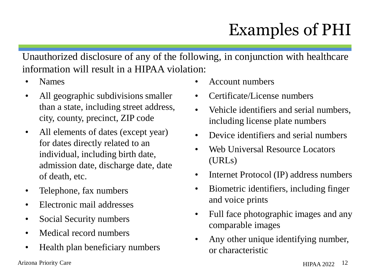# Examples of PHI

Unauthorized disclosure of any of the following, in conjunction with healthcare information will result in a HIPAA violation:

- Names
- All geographic subdivisions smaller than a state, including street address, city, county, precinct, ZIP code
- All elements of dates (except year) for dates directly related to an individual, including birth date, admission date, discharge date, date of death, etc.
- Telephone, fax numbers
- Electronic mail addresses
- Social Security numbers
- Medical record numbers
- Health plan beneficiary numbers

• Account numbers

- Certificate/License numbers
- Vehicle identifiers and serial numbers, including license plate numbers
- Device identifiers and serial numbers
- Web Universal Resource Locators (URLs)
- Internet Protocol (IP) address numbers
- Biometric identifiers, including finger and voice prints
- Full face photographic images and any comparable images
- Any other unique identifying number, or characteristic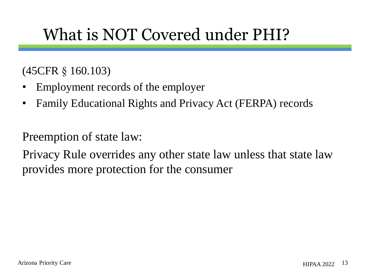# What is NOT Covered under PHI?

#### (45CFR § 160.103)

- Employment records of the employer
- Family Educational Rights and Privacy Act (FERPA) records

Preemption of state law:

Privacy Rule overrides any other state law unless that state law provides more protection for the consumer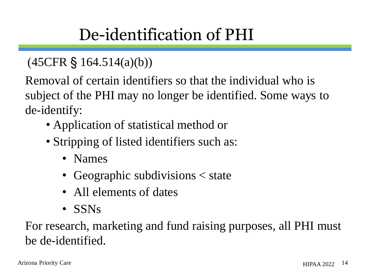# De-identification of PHI

#### (45CFR § 164.514(a)(b))

Removal of certain identifiers so that the individual who is subject of the PHI may no longer be identified. Some ways to de-identify:

- Application of statistical method or
- Stripping of listed identifiers such as:
	- Names
	- Geographic subdivisions  $\lt$  state
	- All elements of dates
	- SSNs

For research, marketing and fund raising purposes, all PHI must be de-identified.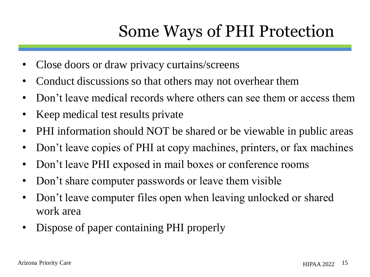# Some Ways of PHI Protection

- Close doors or draw privacy curtains/screens
- Conduct discussions so that others may not overhear them
- Don't leave medical records where others can see them or access them
- Keep medical test results private
- PHI information should NOT be shared or be viewable in public areas
- Don't leave copies of PHI at copy machines, printers, or fax machines
- Don't leave PHI exposed in mail boxes or conference rooms
- Don't share computer passwords or leave them visible
- Don't leave computer files open when leaving unlocked or shared work area
- Dispose of paper containing PHI properly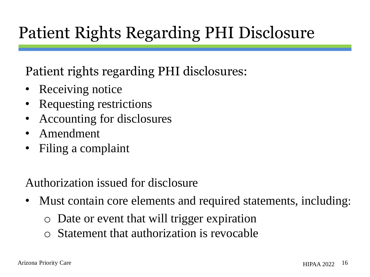# Patient Rights Regarding PHI Disclosure

Patient rights regarding PHI disclosures:

- Receiving notice
- Requesting restrictions
- Accounting for disclosures
- Amendment
- Filing a complaint

#### Authorization issued for disclosure

- Must contain core elements and required statements, including:
	- o Date or event that will trigger expiration
	- o Statement that authorization is revocable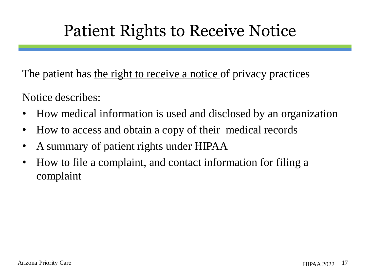## Patient Rights to Receive Notice

The patient has the right to receive a notice of privacy practices

Notice describes:

- How medical information is used and disclosed by an organization
- How to access and obtain a copy of their medical records
- A summary of patient rights under HIPAA
- How to file a complaint, and contact information for filing a complaint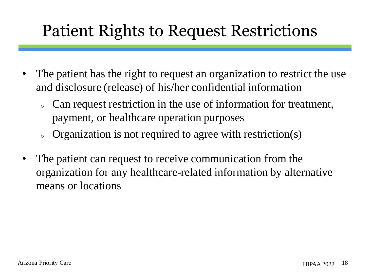## Patient Rights to Request Restrictions

- The patient has the right to request an organization to restrict the use and disclosure (release) of his/her confidential information
	- . Can request restriction in the use of information for treatment, payment, or healthcare operation purposes
	- o Organization is not required to agree with restriction(s)
- The patient can request to receive communication from the organization for any healthcare-related information by alternative means or locations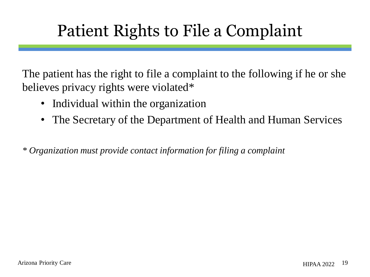# Patient Rights to File a Complaint

The patient has the right to file a complaint to the following if he or she believes privacy rights were violated\*

- Individual within the organization
- The Secretary of the Department of Health and Human Services

*\* Organization must provide contact information for filing a complaint*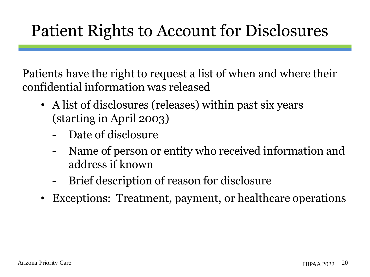# Patient Rights to Account for Disclosures

Patients have the right to request a list of when and where their confidential information was released

- A list of disclosures (releases) within past six years (starting in April 2003)
	- Date of disclosure
	- Name of person or entity who received information and address if known
	- Brief description of reason for disclosure
- Exceptions: Treatment, payment, or healthcare operations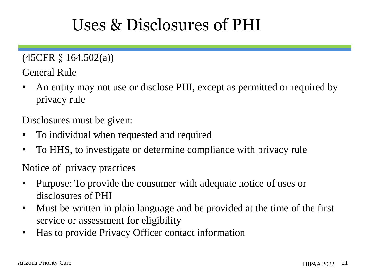## Uses & Disclosures of PHI

(45CFR § 164.502(a))

General Rule

• An entity may not use or disclose PHI, except as permitted or required by privacy rule

Disclosures must be given:

- To individual when requested and required
- To HHS, to investigate or determine compliance with privacy rule

Notice of privacy practices

- Purpose: To provide the consumer with adequate notice of uses or disclosures of PHI
- Must be written in plain language and be provided at the time of the first service or assessment for eligibility
- Has to provide Privacy Officer contact information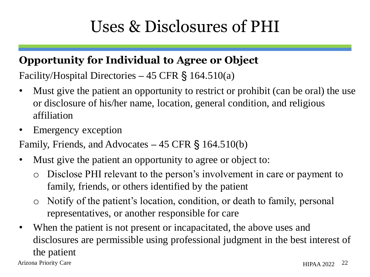# Uses & Disclosures of PHI

#### **Opportunity for Individual to Agree or Object**

Facility/Hospital Directories **–** 45 CFR § 164.510(a)

- Must give the patient an opportunity to restrict or prohibit (can be oral) the use or disclosure of his/her name, location, general condition, and religious affiliation
- Emergency exception

Family, Friends, and Advocates **–** 45 CFR § 164.510(b)

- Must give the patient an opportunity to agree or object to:
	- Disclose PHI relevant to the person's involvement in care or payment to family, friends, or others identified by the patient
	- o Notify of the patient's location, condition, or death to family, personal representatives, or another responsible for care
- When the patient is not present or incapacitated, the above uses and disclosures are permissible using professional judgment in the best interest of the patient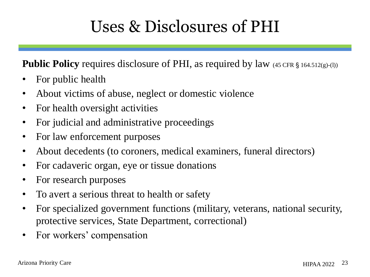# Uses & Disclosures of PHI

**Public Policy** requires disclosure of PHI, as required by law (45 CFR § 164.512(g)-(l))

- For public health
- About victims of abuse, neglect or domestic violence
- For health oversight activities
- For judicial and administrative proceedings
- For law enforcement purposes
- About decedents (to coroners, medical examiners, funeral directors)
- For cadaveric organ, eye or tissue donations
- For research purposes
- To avert a serious threat to health or safety
- For specialized government functions (military, veterans, national security, protective services, State Department, correctional)
- For workers' compensation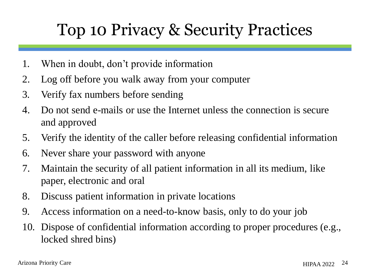### Top 10 Privacy & Security Practices

- 1. When in doubt, don't provide information
- 2. Log off before you walk away from your computer
- 3. Verify fax numbers before sending
- 4. Do not send e-mails or use the Internet unless the connection is secure and approved
- 5. Verify the identity of the caller before releasing confidential information
- 6. Never share your password with anyone
- 7. Maintain the security of all patient information in all its medium, like paper, electronic and oral
- 8. Discuss patient information in private locations
- 9. Access information on a need-to-know basis, only to do your job
- 10. Dispose of confidential information according to proper procedures (e.g., locked shred bins)